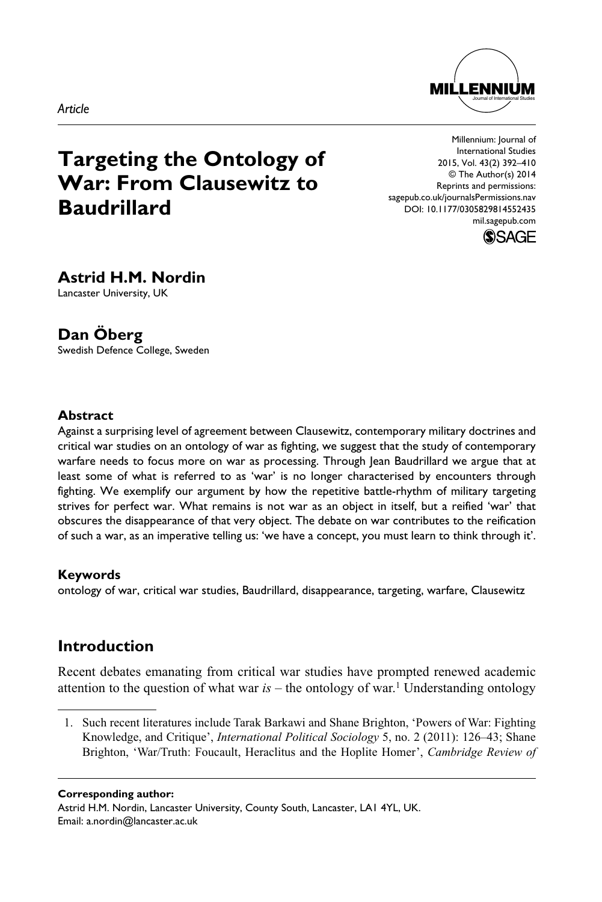



# **Targeting the Ontology of War: From Clausewitz to Baudrillard**

Millennium: Journal of International Studies 2015, Vol. 43(2) 392–410 © The Author(s) 2014 Reprints and permissions: sagepub.co.uk/journalsPermissions.nav DOI: 10.1177/0305829814552435 mil.sagepub.com



# **Astrid H.M. Nordin**

Lancaster University, UK

# **Dan Öberg**

Swedish Defence College, Sweden

#### **Abstract**

Against a surprising level of agreement between Clausewitz, contemporary military doctrines and critical war studies on an ontology of war as fighting, we suggest that the study of contemporary warfare needs to focus more on war as processing. Through Jean Baudrillard we argue that at least some of what is referred to as 'war' is no longer characterised by encounters through fighting. We exemplify our argument by how the repetitive battle-rhythm of military targeting strives for perfect war. What remains is not war as an object in itself, but a reified 'war' that obscures the disappearance of that very object. The debate on war contributes to the reification of such a war, as an imperative telling us: 'we have a concept, you must learn to think through it'.

#### **Keywords**

ontology of war, critical war studies, Baudrillard, disappearance, targeting, warfare, Clausewitz

# **Introduction**

Recent debates emanating from critical war studies have prompted renewed academic attention to the question of what war  $is$  – the ontology of war.<sup>1</sup> Understanding ontology

1. Such recent literatures include Tarak Barkawi and Shane Brighton, 'Powers of War: Fighting Knowledge, and Critique', *International Political Sociology* 5, no. 2 (2011): 126–43; Shane Brighton, 'War/Truth: Foucault, Heraclitus and the Hoplite Homer', *Cambridge Review of* 

#### **Corresponding author:**

Astrid H.M. Nordin, Lancaster University, County South, Lancaster, LA1 4YL, UK. Email: [a.nordin@lancaster.ac.uk](mailto:a.nordin@lancaster.ac.uk)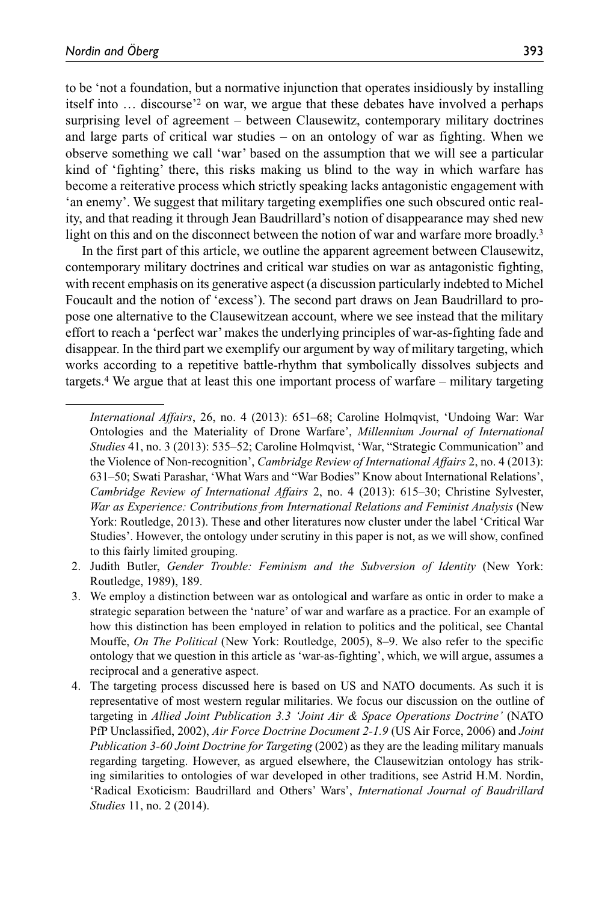to be 'not a foundation, but a normative injunction that operates insidiously by installing itself into … discourse'2 on war, we argue that these debates have involved a perhaps surprising level of agreement – between Clausewitz, contemporary military doctrines and large parts of critical war studies – on an ontology of war as fighting. When we observe something we call 'war' based on the assumption that we will see a particular kind of 'fighting' there, this risks making us blind to the way in which warfare has become a reiterative process which strictly speaking lacks antagonistic engagement with 'an enemy'. We suggest that military targeting exemplifies one such obscured ontic reality, and that reading it through Jean Baudrillard's notion of disappearance may shed new light on this and on the disconnect between the notion of war and warfare more broadly.<sup>3</sup>

In the first part of this article, we outline the apparent agreement between Clausewitz, contemporary military doctrines and critical war studies on war as antagonistic fighting, with recent emphasis on its generative aspect (a discussion particularly indebted to Michel Foucault and the notion of 'excess'). The second part draws on Jean Baudrillard to propose one alternative to the Clausewitzean account, where we see instead that the military effort to reach a 'perfect war' makes the underlying principles of war-as-fighting fade and disappear. In the third part we exemplify our argument by way of military targeting, which works according to a repetitive battle-rhythm that symbolically dissolves subjects and targets.4 We argue that at least this one important process of warfare – military targeting

- 2. Judith Butler, *Gender Trouble: Feminism and the Subversion of Identity* (New York: Routledge, 1989), 189.
- 3. We employ a distinction between war as ontological and warfare as ontic in order to make a strategic separation between the 'nature' of war and warfare as a practice. For an example of how this distinction has been employed in relation to politics and the political, see Chantal Mouffe, *On The Political* (New York: Routledge, 2005), 8–9. We also refer to the specific ontology that we question in this article as 'war-as-fighting', which, we will argue, assumes a reciprocal and a generative aspect.
- 4. The targeting process discussed here is based on US and NATO documents. As such it is representative of most western regular militaries. We focus our discussion on the outline of targeting in *Allied Joint Publication 3.3 'Joint Air & Space Operations Doctrine'* (NATO PfP Unclassified, 2002), *Air Force Doctrine Document 2-1.9* (US Air Force, 2006) and *Joint Publication 3-60 Joint Doctrine for Targeting* (2002) as they are the leading military manuals regarding targeting. However, as argued elsewhere, the Clausewitzian ontology has striking similarities to ontologies of war developed in other traditions, see Astrid H.M. Nordin, 'Radical Exoticism: Baudrillard and Others' Wars', *International Journal of Baudrillard Studies* 11, no. 2 (2014).

*International Affairs*, 26, no. 4 (2013): 651–68; Caroline Holmqvist, 'Undoing War: War Ontologies and the Materiality of Drone Warfare', *Millennium Journal of International Studies* 41, no. 3 (2013): 535–52; Caroline Holmqvist, 'War, "Strategic Communication" and the Violence of Non-recognition', *Cambridge Review of International Affairs* 2, no. 4 (2013): 631–50; Swati Parashar, 'What Wars and "War Bodies" Know about International Relations', *Cambridge Review of International Affairs* 2, no. 4 (2013): 615–30; Christine Sylvester, *War as Experience: Contributions from International Relations and Feminist Analysis* (New York: Routledge, 2013). These and other literatures now cluster under the label 'Critical War Studies'. However, the ontology under scrutiny in this paper is not, as we will show, confined to this fairly limited grouping.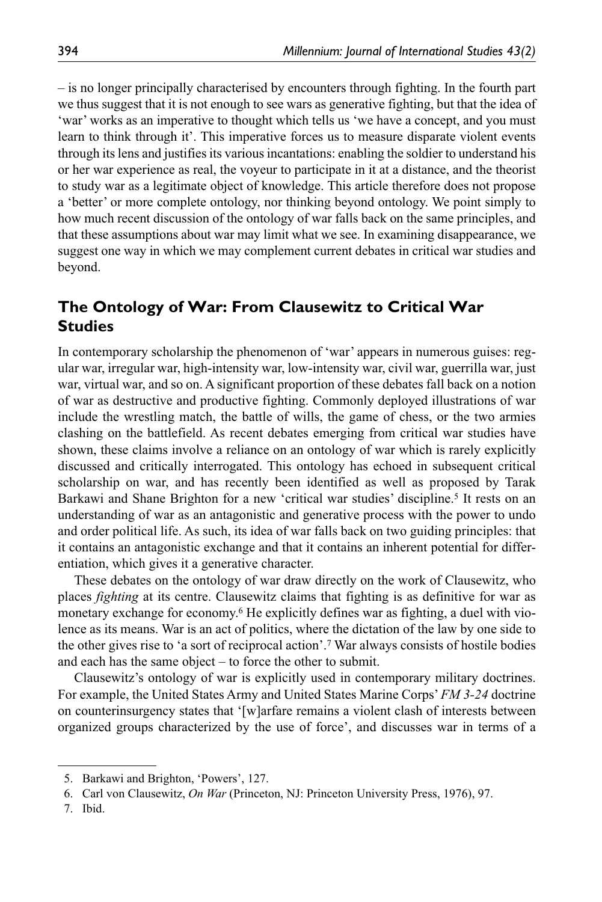– is no longer principally characterised by encounters through fighting. In the fourth part we thus suggest that it is not enough to see wars as generative fighting, but that the idea of 'war' works as an imperative to thought which tells us 'we have a concept, and you must learn to think through it'. This imperative forces us to measure disparate violent events through its lens and justifies its various incantations: enabling the soldier to understand his or her war experience as real, the voyeur to participate in it at a distance, and the theorist to study war as a legitimate object of knowledge. This article therefore does not propose a 'better' or more complete ontology, nor thinking beyond ontology. We point simply to how much recent discussion of the ontology of war falls back on the same principles, and that these assumptions about war may limit what we see. In examining disappearance, we suggest one way in which we may complement current debates in critical war studies and beyond.

# **The Ontology of War: From Clausewitz to Critical War Studies**

In contemporary scholarship the phenomenon of 'war' appears in numerous guises: regular war, irregular war, high-intensity war, low-intensity war, civil war, guerrilla war, just war, virtual war, and so on. A significant proportion of these debates fall back on a notion of war as destructive and productive fighting. Commonly deployed illustrations of war include the wrestling match, the battle of wills, the game of chess, or the two armies clashing on the battlefield. As recent debates emerging from critical war studies have shown, these claims involve a reliance on an ontology of war which is rarely explicitly discussed and critically interrogated. This ontology has echoed in subsequent critical scholarship on war, and has recently been identified as well as proposed by Tarak Barkawi and Shane Brighton for a new 'critical war studies' discipline.<sup>5</sup> It rests on an understanding of war as an antagonistic and generative process with the power to undo and order political life. As such, its idea of war falls back on two guiding principles: that it contains an antagonistic exchange and that it contains an inherent potential for differentiation, which gives it a generative character.

These debates on the ontology of war draw directly on the work of Clausewitz, who places *fighting* at its centre. Clausewitz claims that fighting is as definitive for war as monetary exchange for economy.<sup>6</sup> He explicitly defines war as fighting, a duel with violence as its means. War is an act of politics, where the dictation of the law by one side to the other gives rise to 'a sort of reciprocal action'.7 War always consists of hostile bodies and each has the same object – to force the other to submit.

Clausewitz's ontology of war is explicitly used in contemporary military doctrines. For example, the United States Army and United States Marine Corps' *FM 3-24* doctrine on counterinsurgency states that '[w]arfare remains a violent clash of interests between organized groups characterized by the use of force', and discusses war in terms of a

<sup>5.</sup> Barkawi and Brighton, 'Powers', 127.

<sup>6.</sup> Carl von Clausewitz, *On War* (Princeton, NJ: Princeton University Press, 1976), 97.

<sup>7.</sup> Ibid.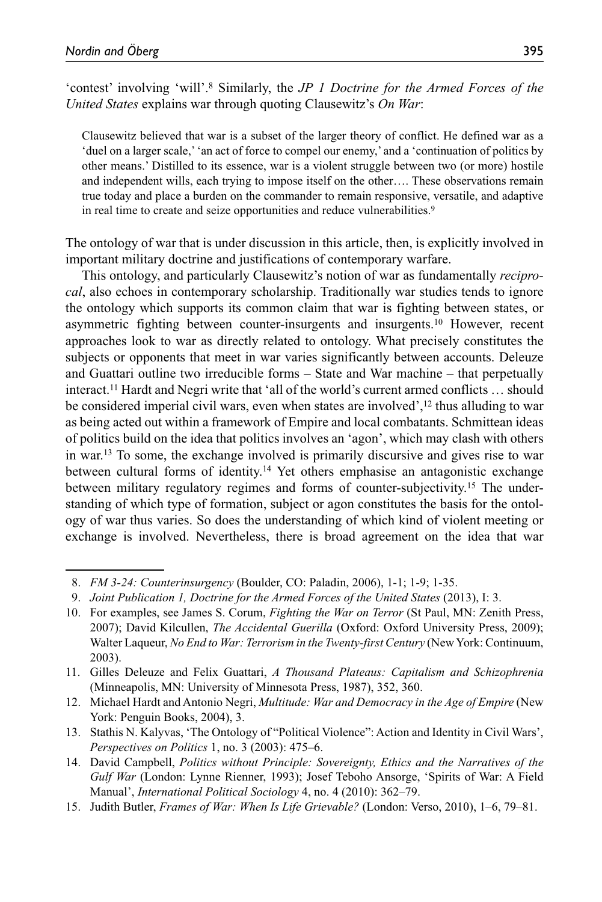'contest' involving 'will'.8 Similarly, the *JP 1 Doctrine for the Armed Forces of the United States* explains war through quoting Clausewitz's *On War*:

Clausewitz believed that war is a subset of the larger theory of conflict. He defined war as a 'duel on a larger scale,' 'an act of force to compel our enemy,' and a 'continuation of politics by other means.' Distilled to its essence, war is a violent struggle between two (or more) hostile and independent wills, each trying to impose itself on the other…. These observations remain true today and place a burden on the commander to remain responsive, versatile, and adaptive in real time to create and seize opportunities and reduce vulnerabilities.<sup>9</sup>

The ontology of war that is under discussion in this article, then, is explicitly involved in important military doctrine and justifications of contemporary warfare.

This ontology, and particularly Clausewitz's notion of war as fundamentally *reciprocal*, also echoes in contemporary scholarship. Traditionally war studies tends to ignore the ontology which supports its common claim that war is fighting between states, or asymmetric fighting between counter-insurgents and insurgents.10 However, recent approaches look to war as directly related to ontology. What precisely constitutes the subjects or opponents that meet in war varies significantly between accounts. Deleuze and Guattari outline two irreducible forms – State and War machine – that perpetually interact.11 Hardt and Negri write that 'all of the world's current armed conflicts … should be considered imperial civil wars, even when states are involved',12 thus alluding to war as being acted out within a framework of Empire and local combatants. Schmittean ideas of politics build on the idea that politics involves an 'agon', which may clash with others in war.13 To some, the exchange involved is primarily discursive and gives rise to war between cultural forms of identity.14 Yet others emphasise an antagonistic exchange between military regulatory regimes and forms of counter-subjectivity.15 The understanding of which type of formation, subject or agon constitutes the basis for the ontology of war thus varies. So does the understanding of which kind of violent meeting or exchange is involved. Nevertheless, there is broad agreement on the idea that war

<sup>8.</sup> *FM 3-24: Counterinsurgency* (Boulder, CO: Paladin, 2006), 1-1; 1-9; 1-35.

<sup>9.</sup> *Joint Publication 1, Doctrine for the Armed Forces of the United States* (2013), I: 3.

<sup>10.</sup> For examples, see James S. Corum, *Fighting the War on Terror* (St Paul, MN: Zenith Press, 2007); David Kilcullen, *The Accidental Guerilla* (Oxford: Oxford University Press, 2009); Walter Laqueur, *No End to War: Terrorism in the Twenty-first Century* (New York: Continuum, 2003).

<sup>11.</sup> Gilles Deleuze and Felix Guattari, *A Thousand Plateaus: Capitalism and Schizophrenia* (Minneapolis, MN: University of Minnesota Press, 1987), 352, 360.

<sup>12.</sup> Michael Hardt and Antonio Negri, *Multitude: War and Democracy in the Age of Empire* (New York: Penguin Books, 2004), 3.

<sup>13.</sup> Stathis N. Kalyvas, 'The Ontology of "Political Violence": Action and Identity in Civil Wars', *Perspectives on Politics* 1, no. 3 (2003): 475–6.

<sup>14.</sup> David Campbell, *Politics without Principle: Sovereignty, Ethics and the Narratives of the Gulf War* (London: Lynne Rienner, 1993); Josef Teboho Ansorge, 'Spirits of War: A Field Manual', *International Political Sociology* 4, no. 4 (2010): 362–79.

<sup>15.</sup> Judith Butler, *Frames of War: When Is Life Grievable?* (London: Verso, 2010), 1–6, 79–81.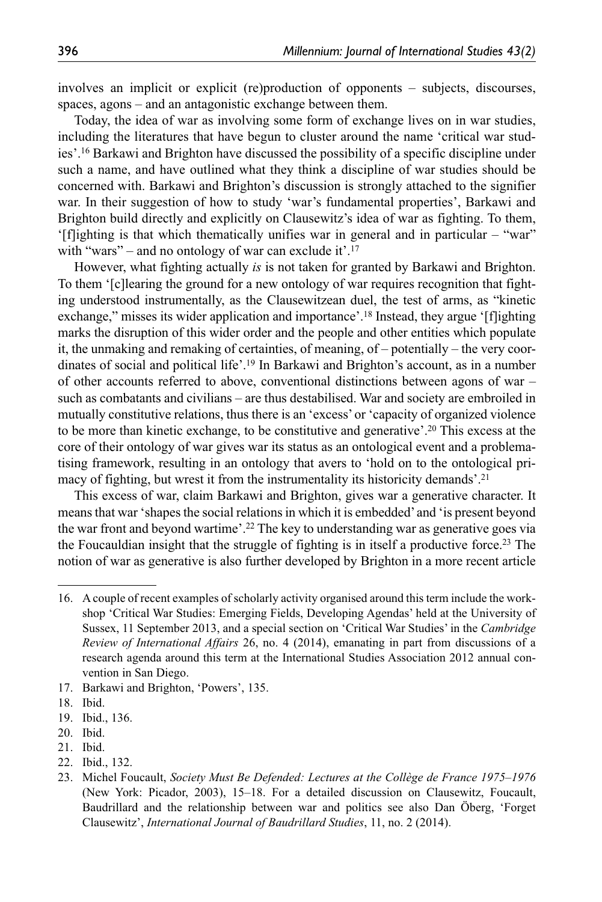involves an implicit or explicit (re)production of opponents – subjects, discourses, spaces, agons – and an antagonistic exchange between them.

Today, the idea of war as involving some form of exchange lives on in war studies, including the literatures that have begun to cluster around the name 'critical war studies'.16 Barkawi and Brighton have discussed the possibility of a specific discipline under such a name, and have outlined what they think a discipline of war studies should be concerned with. Barkawi and Brighton's discussion is strongly attached to the signifier war. In their suggestion of how to study 'war's fundamental properties', Barkawi and Brighton build directly and explicitly on Clausewitz's idea of war as fighting. To them, '[f]ighting is that which thematically unifies war in general and in particular – "war" with "wars" – and no ontology of war can exclude it'.<sup>17</sup>

However, what fighting actually *is* is not taken for granted by Barkawi and Brighton. To them '[c]learing the ground for a new ontology of war requires recognition that fighting understood instrumentally, as the Clausewitzean duel, the test of arms, as "kinetic exchange," misses its wider application and importance'.18 Instead, they argue '[f]ighting marks the disruption of this wider order and the people and other entities which populate it, the unmaking and remaking of certainties, of meaning, of – potentially – the very coordinates of social and political life'.19 In Barkawi and Brighton's account, as in a number of other accounts referred to above, conventional distinctions between agons of war – such as combatants and civilians – are thus destabilised. War and society are embroiled in mutually constitutive relations, thus there is an 'excess' or 'capacity of organized violence to be more than kinetic exchange, to be constitutive and generative'.20 This excess at the core of their ontology of war gives war its status as an ontological event and a problematising framework, resulting in an ontology that avers to 'hold on to the ontological primacy of fighting, but wrest it from the instrumentality its historicity demands'.<sup>21</sup>

This excess of war, claim Barkawi and Brighton, gives war a generative character. It means that war 'shapes the social relations in which it is embedded' and 'is present beyond the war front and beyond wartime'.22 The key to understanding war as generative goes via the Foucauldian insight that the struggle of fighting is in itself a productive force.<sup>23</sup> The notion of war as generative is also further developed by Brighton in a more recent article

<sup>16.</sup> A couple of recent examples of scholarly activity organised around this term include the workshop 'Critical War Studies: Emerging Fields, Developing Agendas' held at the University of Sussex, 11 September 2013, and a special section on 'Critical War Studies' in the *Cambridge Review of International Affairs* 26, no. 4 (2014), emanating in part from discussions of a research agenda around this term at the International Studies Association 2012 annual convention in San Diego.

<sup>17.</sup> Barkawi and Brighton, 'Powers', 135.

<sup>18.</sup> Ibid.

<sup>19.</sup> Ibid., 136.

<sup>20.</sup> Ibid.

<sup>21.</sup> Ibid.

<sup>22.</sup> Ibid., 132.

<sup>23.</sup> Michel Foucault, *Society Must Be Defended: Lectures at the Collège de France 1975–1976* (New York: Picador, 2003), 15–18. For a detailed discussion on Clausewitz, Foucault, Baudrillard and the relationship between war and politics see also Dan Öberg, 'Forget Clausewitz', *International Journal of Baudrillard Studies*, 11, no. 2 (2014).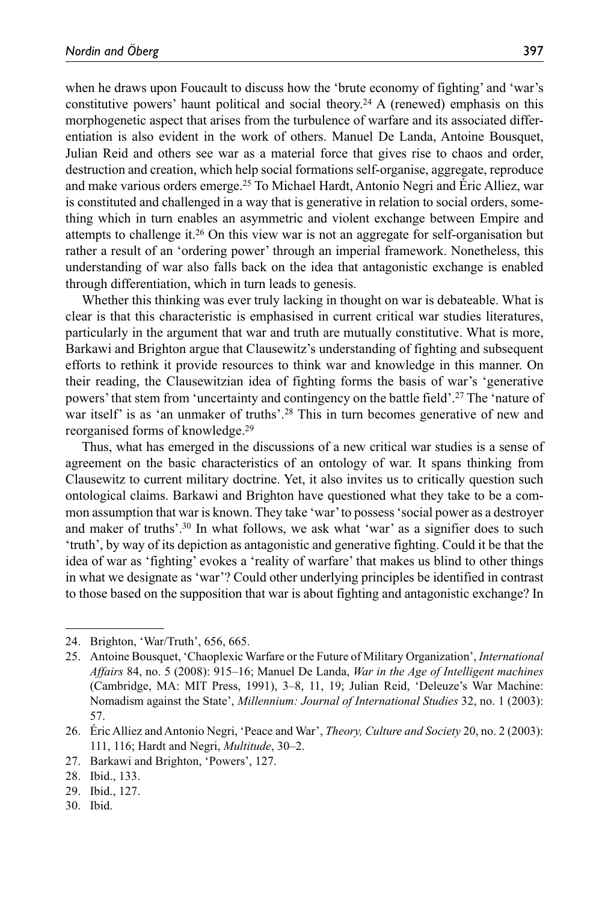when he draws upon Foucault to discuss how the 'brute economy of fighting' and 'war's constitutive powers' haunt political and social theory.<sup>24</sup> A (renewed) emphasis on this morphogenetic aspect that arises from the turbulence of warfare and its associated differentiation is also evident in the work of others. Manuel De Landa, Antoine Bousquet, Julian Reid and others see war as a material force that gives rise to chaos and order, destruction and creation, which help social formations self-organise, aggregate, reproduce and make various orders emerge.25 To Michael Hardt, Antonio Negri and Éric Alliez, war is constituted and challenged in a way that is generative in relation to social orders, something which in turn enables an asymmetric and violent exchange between Empire and attempts to challenge it.26 On this view war is not an aggregate for self-organisation but rather a result of an 'ordering power' through an imperial framework. Nonetheless, this understanding of war also falls back on the idea that antagonistic exchange is enabled through differentiation, which in turn leads to genesis.

Whether this thinking was ever truly lacking in thought on war is debateable. What is clear is that this characteristic is emphasised in current critical war studies literatures, particularly in the argument that war and truth are mutually constitutive. What is more, Barkawi and Brighton argue that Clausewitz's understanding of fighting and subsequent efforts to rethink it provide resources to think war and knowledge in this manner. On their reading, the Clausewitzian idea of fighting forms the basis of war's 'generative powers' that stem from 'uncertainty and contingency on the battle field'.27 The 'nature of war itself' is as 'an unmaker of truths'.<sup>28</sup> This in turn becomes generative of new and reorganised forms of knowledge.29

Thus, what has emerged in the discussions of a new critical war studies is a sense of agreement on the basic characteristics of an ontology of war. It spans thinking from Clausewitz to current military doctrine. Yet, it also invites us to critically question such ontological claims. Barkawi and Brighton have questioned what they take to be a common assumption that war is known. They take 'war' to possess 'social power as a destroyer and maker of truths'.30 In what follows, we ask what 'war' as a signifier does to such 'truth', by way of its depiction as antagonistic and generative fighting. Could it be that the idea of war as 'fighting' evokes a 'reality of warfare' that makes us blind to other things in what we designate as 'war'? Could other underlying principles be identified in contrast to those based on the supposition that war is about fighting and antagonistic exchange? In

30. Ibid.

<sup>24.</sup> Brighton, 'War/Truth', 656, 665.

<sup>25.</sup> Antoine Bousquet, 'Chaoplexic Warfare or the Future of Military Organization', *International Affairs* 84, no. 5 (2008): 915–16; Manuel De Landa, *War in the Age of Intelligent machines* (Cambridge, MA: MIT Press, 1991), 3–8, 11, 19; Julian Reid, 'Deleuze's War Machine: Nomadism against the State', *Millennium: Journal of International Studies* 32, no. 1 (2003): 57.

<sup>26.</sup> Éric Alliez and Antonio Negri, 'Peace and War', *Theory, Culture and Society* 20, no. 2 (2003): 111, 116; Hardt and Negri, *Multitude*, 30–2.

<sup>27.</sup> Barkawi and Brighton, 'Powers', 127.

<sup>28.</sup> Ibid., 133.

<sup>29.</sup> Ibid., 127.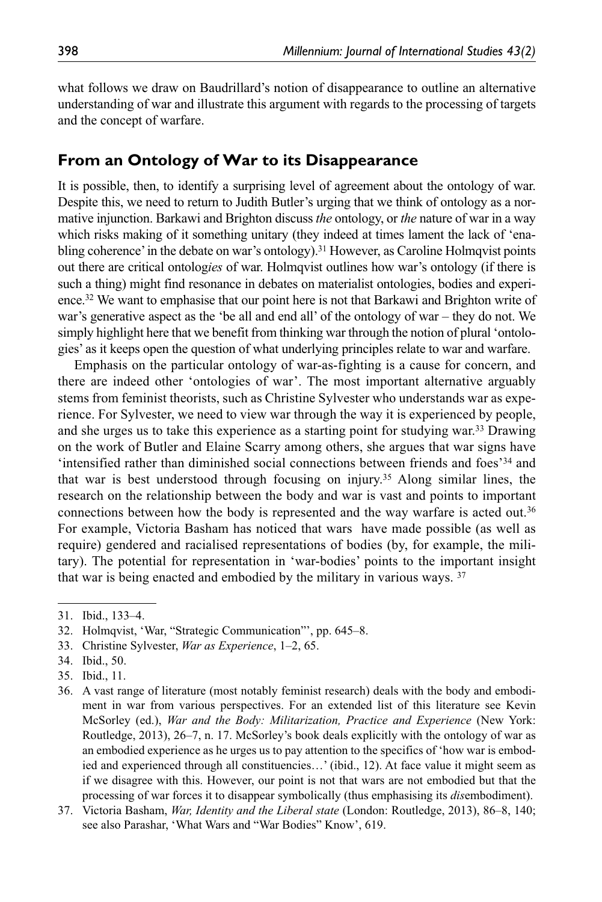what follows we draw on Baudrillard's notion of disappearance to outline an alternative understanding of war and illustrate this argument with regards to the processing of targets and the concept of warfare.

#### **From an Ontology of War to its Disappearance**

It is possible, then, to identify a surprising level of agreement about the ontology of war. Despite this, we need to return to Judith Butler's urging that we think of ontology as a normative injunction. Barkawi and Brighton discuss *the* ontology, or *the* nature of war in a way which risks making of it something unitary (they indeed at times lament the lack of 'enabling coherence' in the debate on war's ontology).<sup>31</sup> However, as Caroline Holmqvist points out there are critical ontolog*ies* of war. Holmqvist outlines how war's ontology (if there is such a thing) might find resonance in debates on materialist ontologies, bodies and experience.32 We want to emphasise that our point here is not that Barkawi and Brighton write of war's generative aspect as the 'be all and end all' of the ontology of war – they do not. We simply highlight here that we benefit from thinking war through the notion of plural 'ontologies' as it keeps open the question of what underlying principles relate to war and warfare.

Emphasis on the particular ontology of war-as-fighting is a cause for concern, and there are indeed other 'ontologies of war'. The most important alternative arguably stems from feminist theorists, such as Christine Sylvester who understands war as experience. For Sylvester, we need to view war through the way it is experienced by people, and she urges us to take this experience as a starting point for studying war.33 Drawing on the work of Butler and Elaine Scarry among others, she argues that war signs have 'intensified rather than diminished social connections between friends and foes'34 and that war is best understood through focusing on injury.35 Along similar lines, the research on the relationship between the body and war is vast and points to important connections between how the body is represented and the way warfare is acted out.36 For example, Victoria Basham has noticed that wars have made possible (as well as require) gendered and racialised representations of bodies (by, for example, the military). The potential for representation in 'war-bodies' points to the important insight that war is being enacted and embodied by the military in various ways. <sup>37</sup>

- 34. Ibid., 50.
- 35. Ibid., 11.
- 36. A vast range of literature (most notably feminist research) deals with the body and embodiment in war from various perspectives. For an extended list of this literature see Kevin McSorley (ed.), *War and the Body: Militarization, Practice and Experience* (New York: Routledge, 2013), 26–7, n. 17. McSorley's book deals explicitly with the ontology of war as an embodied experience as he urges us to pay attention to the specifics of 'how war is embodied and experienced through all constituencies…' (ibid., 12). At face value it might seem as if we disagree with this. However, our point is not that wars are not embodied but that the processing of war forces it to disappear symbolically (thus emphasising its *dis*embodiment).
- 37. Victoria Basham, *War, Identity and the Liberal state* (London: Routledge, 2013), 86–8, 140; see also Parashar, 'What Wars and "War Bodies" Know', 619.

<sup>31.</sup> Ibid., 133–4.

<sup>32.</sup> Holmqvist, 'War, "Strategic Communication"', pp. 645–8.

<sup>33.</sup> Christine Sylvester, *War as Experience*, 1–2, 65.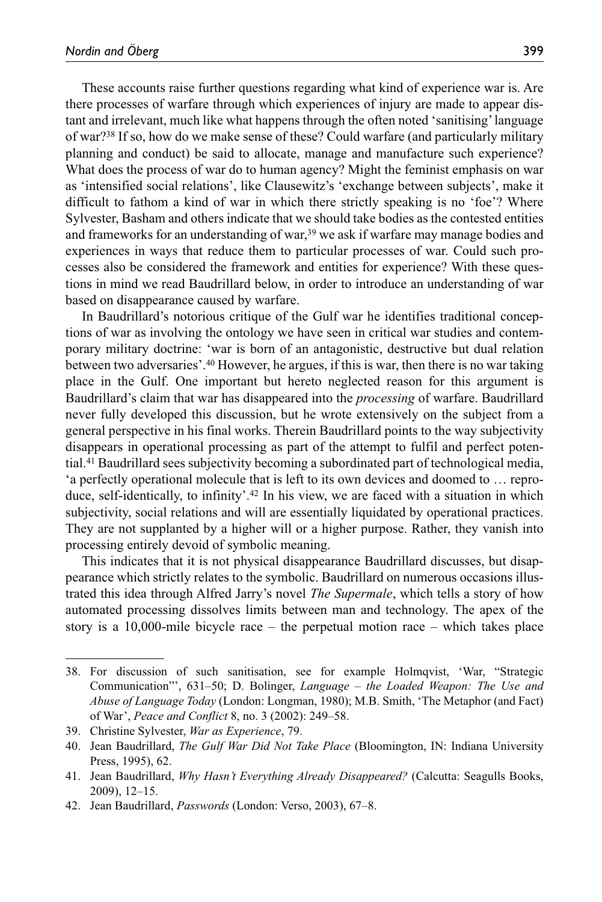These accounts raise further questions regarding what kind of experience war is. Are there processes of warfare through which experiences of injury are made to appear distant and irrelevant, much like what happens through the often noted 'sanitising' language of war?38 If so, how do we make sense of these? Could warfare (and particularly military planning and conduct) be said to allocate, manage and manufacture such experience? What does the process of war do to human agency? Might the feminist emphasis on war as 'intensified social relations', like Clausewitz's 'exchange between subjects', make it difficult to fathom a kind of war in which there strictly speaking is no 'foe'? Where Sylvester, Basham and others indicate that we should take bodies as the contested entities and frameworks for an understanding of war,39 we ask if warfare may manage bodies and experiences in ways that reduce them to particular processes of war. Could such processes also be considered the framework and entities for experience? With these questions in mind we read Baudrillard below, in order to introduce an understanding of war based on disappearance caused by warfare.

In Baudrillard's notorious critique of the Gulf war he identifies traditional conceptions of war as involving the ontology we have seen in critical war studies and contemporary military doctrine: 'war is born of an antagonistic, destructive but dual relation between two adversaries'.40 However, he argues, if this is war, then there is no war taking place in the Gulf. One important but hereto neglected reason for this argument is Baudrillard's claim that war has disappeared into the *processing* of warfare. Baudrillard never fully developed this discussion, but he wrote extensively on the subject from a general perspective in his final works. Therein Baudrillard points to the way subjectivity disappears in operational processing as part of the attempt to fulfil and perfect potential.41 Baudrillard sees subjectivity becoming a subordinated part of technological media, 'a perfectly operational molecule that is left to its own devices and doomed to … reproduce, self-identically, to infinity'.<sup>42</sup> In his view, we are faced with a situation in which subjectivity, social relations and will are essentially liquidated by operational practices. They are not supplanted by a higher will or a higher purpose. Rather, they vanish into processing entirely devoid of symbolic meaning.

This indicates that it is not physical disappearance Baudrillard discusses, but disappearance which strictly relates to the symbolic. Baudrillard on numerous occasions illustrated this idea through Alfred Jarry's novel *The Supermale*, which tells a story of how automated processing dissolves limits between man and technology. The apex of the story is a 10,000-mile bicycle race – the perpetual motion race – which takes place

<sup>38.</sup> For discussion of such sanitisation, see for example Holmqvist, 'War, "Strategic Communication"', 631–50; D. Bolinger, *Language – the Loaded Weapon: The Use and Abuse of Language Today* (London: Longman, 1980); M.B. Smith, 'The Metaphor (and Fact) of War', *Peace and Conflict* 8, no. 3 (2002): 249–58.

<sup>39.</sup> Christine Sylvester, *War as Experience*, 79.

<sup>40.</sup> Jean Baudrillard, *The Gulf War Did Not Take Place* (Bloomington, IN: Indiana University Press, 1995), 62.

<sup>41.</sup> Jean Baudrillard, *Why Hasn't Everything Already Disappeared?* (Calcutta: Seagulls Books, 2009), 12–15.

<sup>42.</sup> Jean Baudrillard, *Passwords* (London: Verso, 2003), 67–8.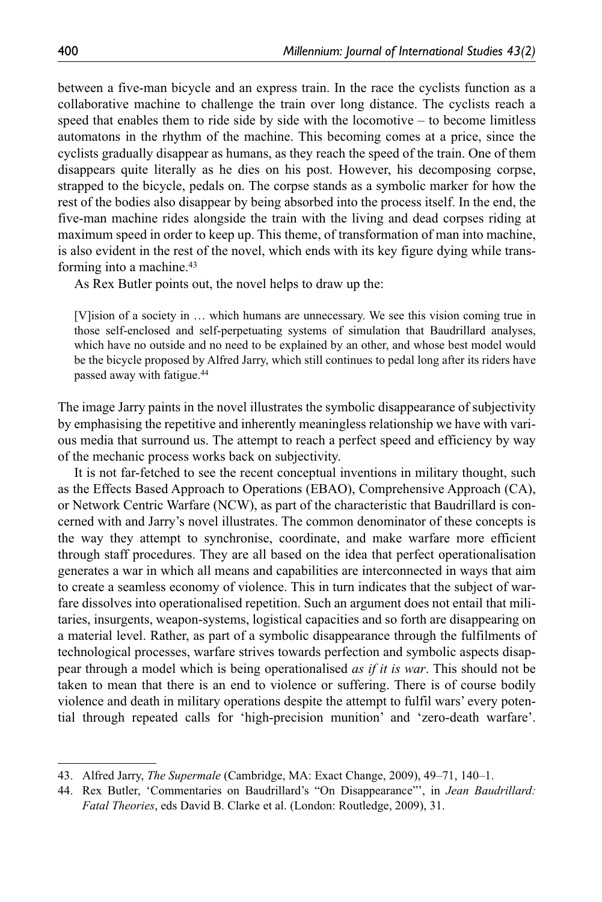between a five-man bicycle and an express train. In the race the cyclists function as a collaborative machine to challenge the train over long distance. The cyclists reach a speed that enables them to ride side by side with the locomotive – to become limitless automatons in the rhythm of the machine. This becoming comes at a price, since the cyclists gradually disappear as humans, as they reach the speed of the train. One of them disappears quite literally as he dies on his post. However, his decomposing corpse, strapped to the bicycle, pedals on. The corpse stands as a symbolic marker for how the rest of the bodies also disappear by being absorbed into the process itself. In the end, the five-man machine rides alongside the train with the living and dead corpses riding at maximum speed in order to keep up. This theme, of transformation of man into machine, is also evident in the rest of the novel, which ends with its key figure dying while transforming into a machine.43

As Rex Butler points out, the novel helps to draw up the:

[V]ision of a society in … which humans are unnecessary. We see this vision coming true in those self-enclosed and self-perpetuating systems of simulation that Baudrillard analyses, which have no outside and no need to be explained by an other, and whose best model would be the bicycle proposed by Alfred Jarry, which still continues to pedal long after its riders have passed away with fatigue.44

The image Jarry paints in the novel illustrates the symbolic disappearance of subjectivity by emphasising the repetitive and inherently meaningless relationship we have with various media that surround us. The attempt to reach a perfect speed and efficiency by way of the mechanic process works back on subjectivity.

It is not far-fetched to see the recent conceptual inventions in military thought, such as the Effects Based Approach to Operations (EBAO), Comprehensive Approach (CA), or Network Centric Warfare (NCW), as part of the characteristic that Baudrillard is concerned with and Jarry's novel illustrates. The common denominator of these concepts is the way they attempt to synchronise, coordinate, and make warfare more efficient through staff procedures. They are all based on the idea that perfect operationalisation generates a war in which all means and capabilities are interconnected in ways that aim to create a seamless economy of violence. This in turn indicates that the subject of warfare dissolves into operationalised repetition. Such an argument does not entail that militaries, insurgents, weapon-systems, logistical capacities and so forth are disappearing on a material level. Rather, as part of a symbolic disappearance through the fulfilments of technological processes, warfare strives towards perfection and symbolic aspects disappear through a model which is being operationalised *as if it is war*. This should not be taken to mean that there is an end to violence or suffering. There is of course bodily violence and death in military operations despite the attempt to fulfil wars' every potential through repeated calls for 'high-precision munition' and 'zero-death warfare'.

<sup>43.</sup> Alfred Jarry, *The Supermale* (Cambridge, MA: Exact Change, 2009), 49–71, 140–1.

<sup>44.</sup> Rex Butler, 'Commentaries on Baudrillard's "On Disappearance"', in *Jean Baudrillard: Fatal Theories*, eds David B. Clarke et al. (London: Routledge, 2009), 31.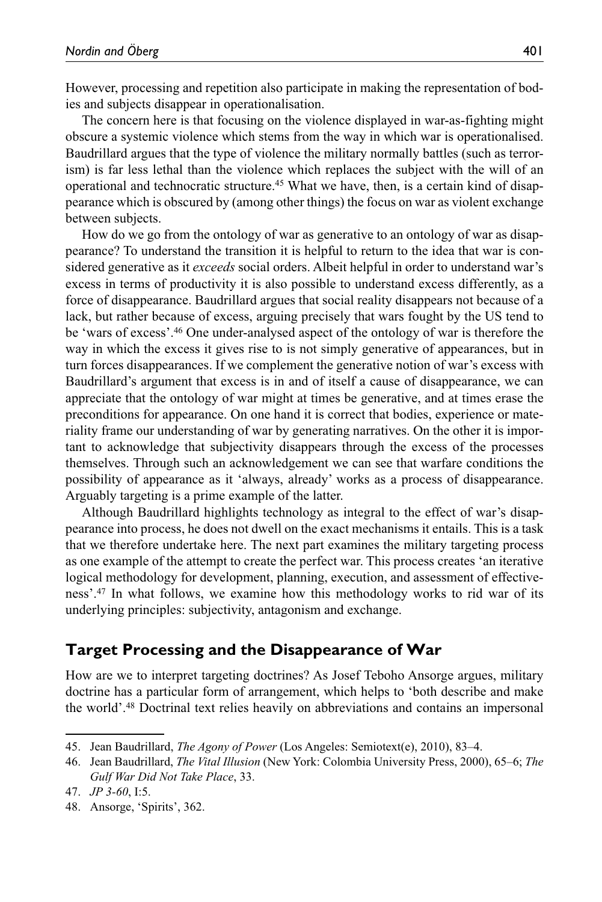However, processing and repetition also participate in making the representation of bodies and subjects disappear in operationalisation.

The concern here is that focusing on the violence displayed in war-as-fighting might obscure a systemic violence which stems from the way in which war is operationalised. Baudrillard argues that the type of violence the military normally battles (such as terrorism) is far less lethal than the violence which replaces the subject with the will of an operational and technocratic structure.45 What we have, then, is a certain kind of disappearance which is obscured by (among other things) the focus on war as violent exchange between subjects.

How do we go from the ontology of war as generative to an ontology of war as disappearance? To understand the transition it is helpful to return to the idea that war is considered generative as it *exceeds* social orders. Albeit helpful in order to understand war's excess in terms of productivity it is also possible to understand excess differently, as a force of disappearance. Baudrillard argues that social reality disappears not because of a lack, but rather because of excess, arguing precisely that wars fought by the US tend to be 'wars of excess'.46 One under-analysed aspect of the ontology of war is therefore the way in which the excess it gives rise to is not simply generative of appearances, but in turn forces disappearances. If we complement the generative notion of war's excess with Baudrillard's argument that excess is in and of itself a cause of disappearance, we can appreciate that the ontology of war might at times be generative, and at times erase the preconditions for appearance. On one hand it is correct that bodies, experience or materiality frame our understanding of war by generating narratives. On the other it is important to acknowledge that subjectivity disappears through the excess of the processes themselves. Through such an acknowledgement we can see that warfare conditions the possibility of appearance as it 'always, already' works as a process of disappearance. Arguably targeting is a prime example of the latter.

Although Baudrillard highlights technology as integral to the effect of war's disappearance into process, he does not dwell on the exact mechanisms it entails. This is a task that we therefore undertake here. The next part examines the military targeting process as one example of the attempt to create the perfect war. This process creates 'an iterative logical methodology for development, planning, execution, and assessment of effectiveness'.47 In what follows, we examine how this methodology works to rid war of its underlying principles: subjectivity, antagonism and exchange.

## **Target Processing and the Disappearance of War**

How are we to interpret targeting doctrines? As Josef Teboho Ansorge argues, military doctrine has a particular form of arrangement, which helps to 'both describe and make the world'.48 Doctrinal text relies heavily on abbreviations and contains an impersonal

<sup>45.</sup> Jean Baudrillard, *The Agony of Power* (Los Angeles: Semiotext(e), 2010), 83–4.

<sup>46.</sup> Jean Baudrillard, *The Vital Illusion* (New York: Colombia University Press, 2000), 65–6; *The Gulf War Did Not Take Place*, 33.

<sup>47.</sup> *JP 3-60*, I:5.

<sup>48.</sup> Ansorge, 'Spirits', 362.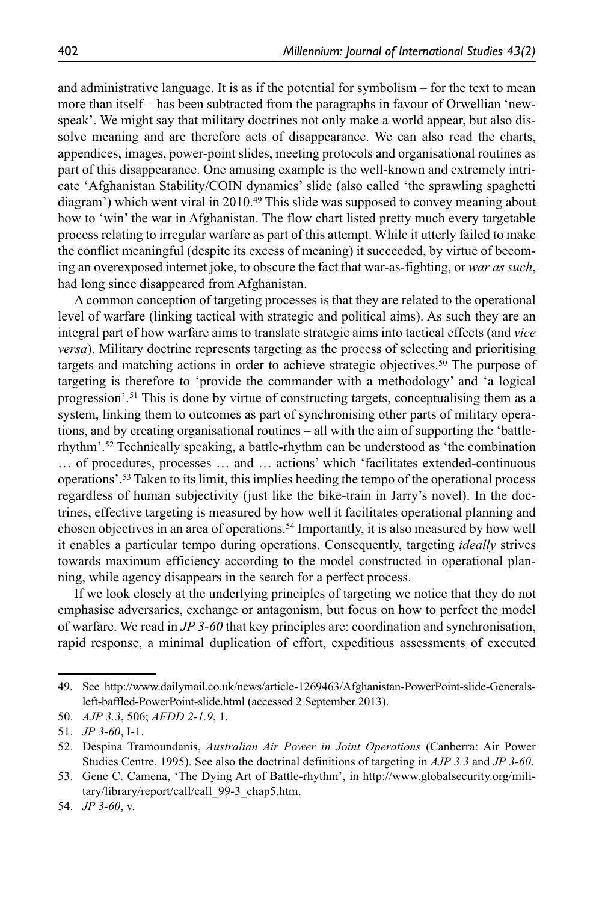and administrative language. It is as if the potential for symbolism – for the text to mean more than itself – has been subtracted from the paragraphs in favour of Orwellian 'newspeak'. We might say that military doctrines not only make a world appear, but also dissolve meaning and are therefore acts of disappearance. We can also read the charts, appendices, images, power-point slides, meeting protocols and organisational routines as part of this disappearance. One amusing example is the well-known and extremely intricate 'Afghanistan Stability/COIN dynamics' slide (also called 'the sprawling spaghetti diagram') which went viral in 2010.49 This slide was supposed to convey meaning about how to 'win' the war in Afghanistan. The flow chart listed pretty much every targetable process relating to irregular warfare as part of this attempt. While it utterly failed to make the conflict meaningful (despite its excess of meaning) it succeeded, by virtue of becoming an overexposed internet joke, to obscure the fact that war-as-fighting, or *war as such*, had long since disappeared from Afghanistan.

A common conception of targeting processes is that they are related to the operational level of warfare (linking tactical with strategic and political aims). As such they are an integral part of how warfare aims to translate strategic aims into tactical effects (and *vice versa*). Military doctrine represents targeting as the process of selecting and prioritising targets and matching actions in order to achieve strategic objectives.50 The purpose of targeting is therefore to 'provide the commander with a methodology' and 'a logical progression'.51 This is done by virtue of constructing targets, conceptualising them as a system, linking them to outcomes as part of synchronising other parts of military operations, and by creating organisational routines – all with the aim of supporting the 'battlerhythm'.52 Technically speaking, a battle-rhythm can be understood as 'the combination … of procedures, processes … and … actions' which 'facilitates extended-continuous operations'.53 Taken to its limit, this implies heeding the tempo of the operational process regardless of human subjectivity (just like the bike-train in Jarry's novel). In the doctrines, effective targeting is measured by how well it facilitates operational planning and chosen objectives in an area of operations.54 Importantly, it is also measured by how well it enables a particular tempo during operations. Consequently, targeting *ideally* strives towards maximum efficiency according to the model constructed in operational planning, while agency disappears in the search for a perfect process.

If we look closely at the underlying principles of targeting we notice that they do not emphasise adversaries, exchange or antagonism, but focus on how to perfect the model of warfare. We read in *JP 3-60* that key principles are: coordination and synchronisation, rapid response, a minimal duplication of effort, expeditious assessments of executed

<sup>49.</sup> See [http://www.dailymail.co.uk/news/article-1269463/Afghanistan-PowerPoint-slide-Generals](http://www.dailymail.co.uk/news/article-1269463/Afghanistan-PowerPoint-slide-Generals-left-baffled-PowerPoint-slide.html)[left-baffled-PowerPoint-slide.html](http://www.dailymail.co.uk/news/article-1269463/Afghanistan-PowerPoint-slide-Generals-left-baffled-PowerPoint-slide.html) (accessed 2 September 2013).

<sup>50.</sup> *AJP 3.3*, 506; *AFDD 2-1.9*, 1.

<sup>51.</sup> *JP 3-60*, I-1.

<sup>52.</sup> Despina Tramoundanis, *Australian Air Power in Joint Operations* (Canberra: Air Power Studies Centre, 1995). See also the doctrinal definitions of targeting in *AJP 3.3* and *JP 3-60*.

<sup>53.</sup> Gene C. Camena, 'The Dying Art of Battle-rhythm', in [http://www.globalsecurity.org/mili](http://www.globalsecurity.org/military/library/report/call/call_99-3_chap5.htm)[tary/library/report/call/call\\_99-3\\_chap5.htm](http://www.globalsecurity.org/military/library/report/call/call_99-3_chap5.htm).

<sup>54.</sup> *JP 3-60*, v.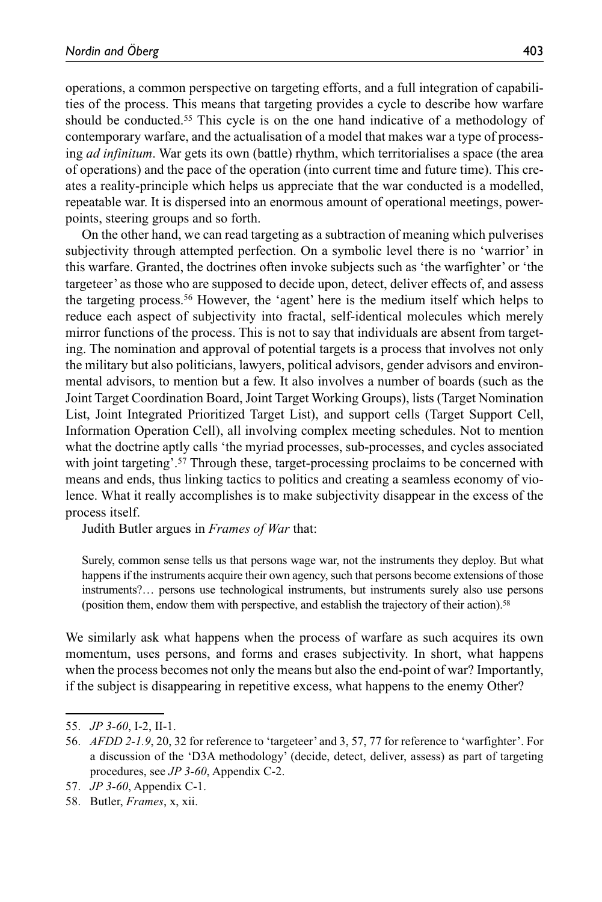operations, a common perspective on targeting efforts, and a full integration of capabilities of the process. This means that targeting provides a cycle to describe how warfare should be conducted.55 This cycle is on the one hand indicative of a methodology of contemporary warfare, and the actualisation of a model that makes war a type of processing *ad infinitum*. War gets its own (battle) rhythm, which territorialises a space (the area of operations) and the pace of the operation (into current time and future time). This creates a reality-principle which helps us appreciate that the war conducted is a modelled, repeatable war. It is dispersed into an enormous amount of operational meetings, powerpoints, steering groups and so forth.

On the other hand, we can read targeting as a subtraction of meaning which pulverises subjectivity through attempted perfection. On a symbolic level there is no 'warrior' in this warfare. Granted, the doctrines often invoke subjects such as 'the warfighter' or 'the targeteer' as those who are supposed to decide upon, detect, deliver effects of, and assess the targeting process.56 However, the 'agent' here is the medium itself which helps to reduce each aspect of subjectivity into fractal, self-identical molecules which merely mirror functions of the process. This is not to say that individuals are absent from targeting. The nomination and approval of potential targets is a process that involves not only the military but also politicians, lawyers, political advisors, gender advisors and environmental advisors, to mention but a few. It also involves a number of boards (such as the Joint Target Coordination Board, Joint Target Working Groups), lists (Target Nomination List, Joint Integrated Prioritized Target List), and support cells (Target Support Cell, Information Operation Cell), all involving complex meeting schedules. Not to mention what the doctrine aptly calls 'the myriad processes, sub-processes, and cycles associated with joint targeting'.<sup>57</sup> Through these, target-processing proclaims to be concerned with means and ends, thus linking tactics to politics and creating a seamless economy of violence. What it really accomplishes is to make subjectivity disappear in the excess of the process itself.

Judith Butler argues in *Frames of War* that:

Surely, common sense tells us that persons wage war, not the instruments they deploy. But what happens if the instruments acquire their own agency, such that persons become extensions of those instruments?… persons use technological instruments, but instruments surely also use persons (position them, endow them with perspective, and establish the trajectory of their action).58

We similarly ask what happens when the process of warfare as such acquires its own momentum, uses persons, and forms and erases subjectivity. In short, what happens when the process becomes not only the means but also the end-point of war? Importantly, if the subject is disappearing in repetitive excess, what happens to the enemy Other?

<sup>55.</sup> *JP 3-60*, I-2, II-1.

<sup>56.</sup> *AFDD 2-1.9*, 20, 32 for reference to 'targeteer' and 3, 57, 77 for reference to 'warfighter'. For a discussion of the 'D3A methodology' (decide, detect, deliver, assess) as part of targeting procedures, see *JP 3-60*, Appendix C-2.

<sup>57.</sup> *JP 3-60*, Appendix C-1.

<sup>58.</sup> Butler, *Frames*, x, xii.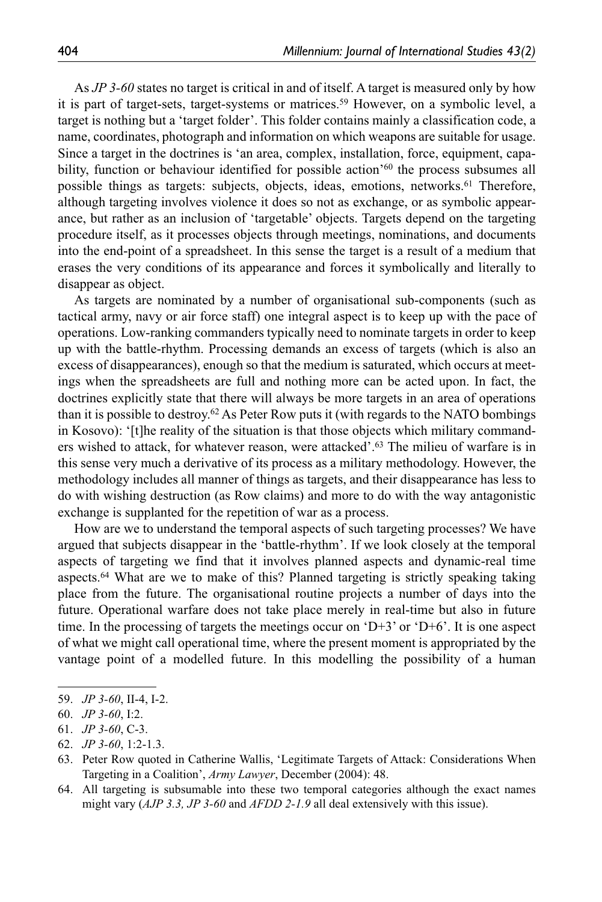As *JP 3-60* states no target is critical in and of itself. A target is measured only by how it is part of target-sets, target-systems or matrices.59 However, on a symbolic level, a target is nothing but a 'target folder'. This folder contains mainly a classification code, a name, coordinates, photograph and information on which weapons are suitable for usage. Since a target in the doctrines is 'an area, complex, installation, force, equipment, capability, function or behaviour identified for possible action'<sup>60</sup> the process subsumes all possible things as targets: subjects, objects, ideas, emotions, networks.61 Therefore, although targeting involves violence it does so not as exchange, or as symbolic appearance, but rather as an inclusion of 'targetable' objects. Targets depend on the targeting procedure itself, as it processes objects through meetings, nominations, and documents into the end-point of a spreadsheet. In this sense the target is a result of a medium that erases the very conditions of its appearance and forces it symbolically and literally to disappear as object.

As targets are nominated by a number of organisational sub-components (such as tactical army, navy or air force staff) one integral aspect is to keep up with the pace of operations. Low-ranking commanders typically need to nominate targets in order to keep up with the battle-rhythm. Processing demands an excess of targets (which is also an excess of disappearances), enough so that the medium is saturated, which occurs at meetings when the spreadsheets are full and nothing more can be acted upon. In fact, the doctrines explicitly state that there will always be more targets in an area of operations than it is possible to destroy.62 As Peter Row puts it (with regards to the NATO bombings in Kosovo): '[t]he reality of the situation is that those objects which military commanders wished to attack, for whatever reason, were attacked'.63 The milieu of warfare is in this sense very much a derivative of its process as a military methodology. However, the methodology includes all manner of things as targets, and their disappearance has less to do with wishing destruction (as Row claims) and more to do with the way antagonistic exchange is supplanted for the repetition of war as a process.

How are we to understand the temporal aspects of such targeting processes? We have argued that subjects disappear in the 'battle-rhythm'. If we look closely at the temporal aspects of targeting we find that it involves planned aspects and dynamic-real time aspects.64 What are we to make of this? Planned targeting is strictly speaking taking place from the future. The organisational routine projects a number of days into the future. Operational warfare does not take place merely in real-time but also in future time. In the processing of targets the meetings occur on 'D+3' or 'D+6'. It is one aspect of what we might call operational time, where the present moment is appropriated by the vantage point of a modelled future. In this modelling the possibility of a human

<sup>59.</sup> *JP 3-60*, II-4, I-2.

<sup>60.</sup> *JP 3-60*, I:2.

<sup>61.</sup> *JP 3-60*, C-3.

<sup>62.</sup> *JP 3-60*, 1:2-1.3.

<sup>63.</sup> Peter Row quoted in Catherine Wallis, 'Legitimate Targets of Attack: Considerations When Targeting in a Coalition', *Army Lawyer*, December (2004): 48.

<sup>64.</sup> All targeting is subsumable into these two temporal categories although the exact names might vary (*AJP 3.3, JP 3-60* and *AFDD 2-1.9* all deal extensively with this issue).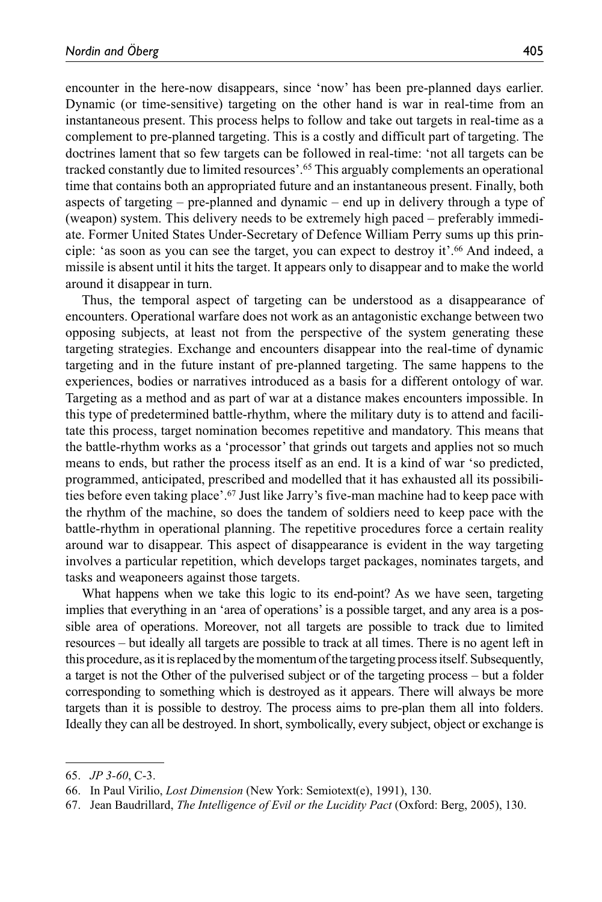encounter in the here-now disappears, since 'now' has been pre-planned days earlier. Dynamic (or time-sensitive) targeting on the other hand is war in real-time from an instantaneous present. This process helps to follow and take out targets in real-time as a complement to pre-planned targeting. This is a costly and difficult part of targeting. The doctrines lament that so few targets can be followed in real-time: 'not all targets can be tracked constantly due to limited resources'.65 This arguably complements an operational time that contains both an appropriated future and an instantaneous present. Finally, both aspects of targeting – pre-planned and dynamic – end up in delivery through a type of (weapon) system. This delivery needs to be extremely high paced – preferably immediate. Former United States Under-Secretary of Defence William Perry sums up this principle: 'as soon as you can see the target, you can expect to destroy it'.66 And indeed, a missile is absent until it hits the target. It appears only to disappear and to make the world around it disappear in turn.

Thus, the temporal aspect of targeting can be understood as a disappearance of encounters. Operational warfare does not work as an antagonistic exchange between two opposing subjects, at least not from the perspective of the system generating these targeting strategies. Exchange and encounters disappear into the real-time of dynamic targeting and in the future instant of pre-planned targeting. The same happens to the experiences, bodies or narratives introduced as a basis for a different ontology of war. Targeting as a method and as part of war at a distance makes encounters impossible. In this type of predetermined battle-rhythm, where the military duty is to attend and facilitate this process, target nomination becomes repetitive and mandatory. This means that the battle-rhythm works as a 'processor' that grinds out targets and applies not so much means to ends, but rather the process itself as an end. It is a kind of war 'so predicted, programmed, anticipated, prescribed and modelled that it has exhausted all its possibilities before even taking place'.67 Just like Jarry's five-man machine had to keep pace with the rhythm of the machine, so does the tandem of soldiers need to keep pace with the battle-rhythm in operational planning. The repetitive procedures force a certain reality around war to disappear. This aspect of disappearance is evident in the way targeting involves a particular repetition, which develops target packages, nominates targets, and tasks and weaponeers against those targets.

What happens when we take this logic to its end-point? As we have seen, targeting implies that everything in an 'area of operations' is a possible target, and any area is a possible area of operations. Moreover, not all targets are possible to track due to limited resources – but ideally all targets are possible to track at all times. There is no agent left in this procedure, as it is replaced by the momentum of the targeting process itself. Subsequently, a target is not the Other of the pulverised subject or of the targeting process – but a folder corresponding to something which is destroyed as it appears. There will always be more targets than it is possible to destroy. The process aims to pre-plan them all into folders. Ideally they can all be destroyed. In short, symbolically, every subject, object or exchange is

<sup>65.</sup> *JP 3-60*, C-3.

<sup>66.</sup> In Paul Virilio, *Lost Dimension* (New York: Semiotext(e), 1991), 130.

<sup>67.</sup> Jean Baudrillard, *The Intelligence of Evil or the Lucidity Pact* (Oxford: Berg, 2005), 130.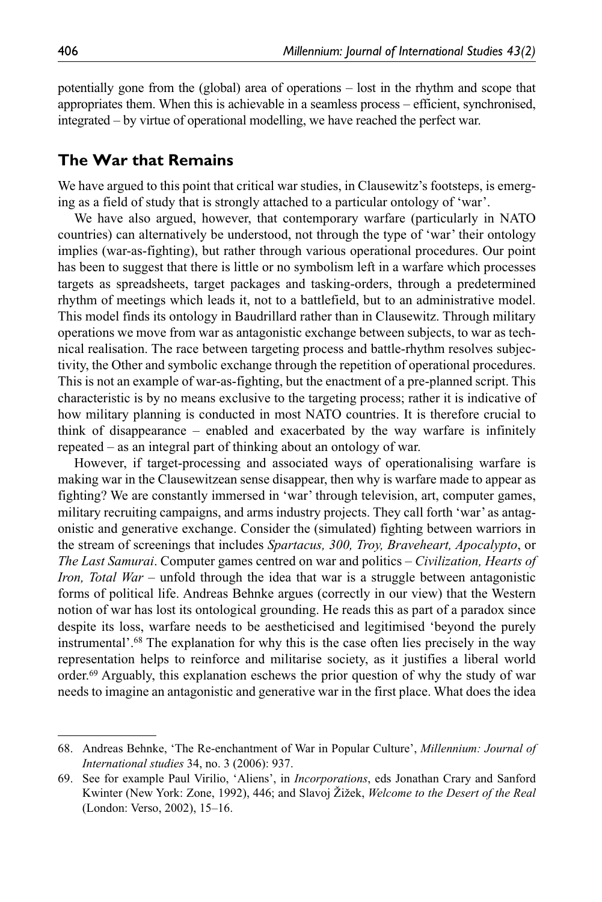potentially gone from the (global) area of operations – lost in the rhythm and scope that appropriates them. When this is achievable in a seamless process – efficient, synchronised, integrated – by virtue of operational modelling, we have reached the perfect war.

#### **The War that Remains**

We have argued to this point that critical war studies, in Clausewitz's footsteps, is emerging as a field of study that is strongly attached to a particular ontology of 'war'.

We have also argued, however, that contemporary warfare (particularly in NATO countries) can alternatively be understood, not through the type of 'war' their ontology implies (war-as-fighting), but rather through various operational procedures. Our point has been to suggest that there is little or no symbolism left in a warfare which processes targets as spreadsheets, target packages and tasking-orders, through a predetermined rhythm of meetings which leads it, not to a battlefield, but to an administrative model. This model finds its ontology in Baudrillard rather than in Clausewitz. Through military operations we move from war as antagonistic exchange between subjects, to war as technical realisation. The race between targeting process and battle-rhythm resolves subjectivity, the Other and symbolic exchange through the repetition of operational procedures. This is not an example of war-as-fighting, but the enactment of a pre-planned script. This characteristic is by no means exclusive to the targeting process; rather it is indicative of how military planning is conducted in most NATO countries. It is therefore crucial to think of disappearance – enabled and exacerbated by the way warfare is infinitely repeated – as an integral part of thinking about an ontology of war.

However, if target-processing and associated ways of operationalising warfare is making war in the Clausewitzean sense disappear, then why is warfare made to appear as fighting? We are constantly immersed in 'war' through television, art, computer games, military recruiting campaigns, and arms industry projects. They call forth 'war' as antagonistic and generative exchange. Consider the (simulated) fighting between warriors in the stream of screenings that includes *Spartacus, 300, Troy, Braveheart, Apocalypto*, or *The Last Samurai*. Computer games centred on war and politics – *Civilization, Hearts of Iron, Total War* – unfold through the idea that war is a struggle between antagonistic forms of political life. Andreas Behnke argues (correctly in our view) that the Western notion of war has lost its ontological grounding. He reads this as part of a paradox since despite its loss, warfare needs to be aestheticised and legitimised 'beyond the purely instrumental'.68 The explanation for why this is the case often lies precisely in the way representation helps to reinforce and militarise society, as it justifies a liberal world order.69 Arguably, this explanation eschews the prior question of why the study of war needs to imagine an antagonistic and generative war in the first place. What does the idea

<sup>68.</sup> Andreas Behnke, 'The Re-enchantment of War in Popular Culture', *Millennium: Journal of International studies* 34, no. 3 (2006): 937.

<sup>69.</sup> See for example Paul Virilio, 'Aliens', in *Incorporations*, eds Jonathan Crary and Sanford Kwinter (New York: Zone, 1992), 446; and Slavoj Žižek, *Welcome to the Desert of the Real* (London: Verso, 2002), 15–16.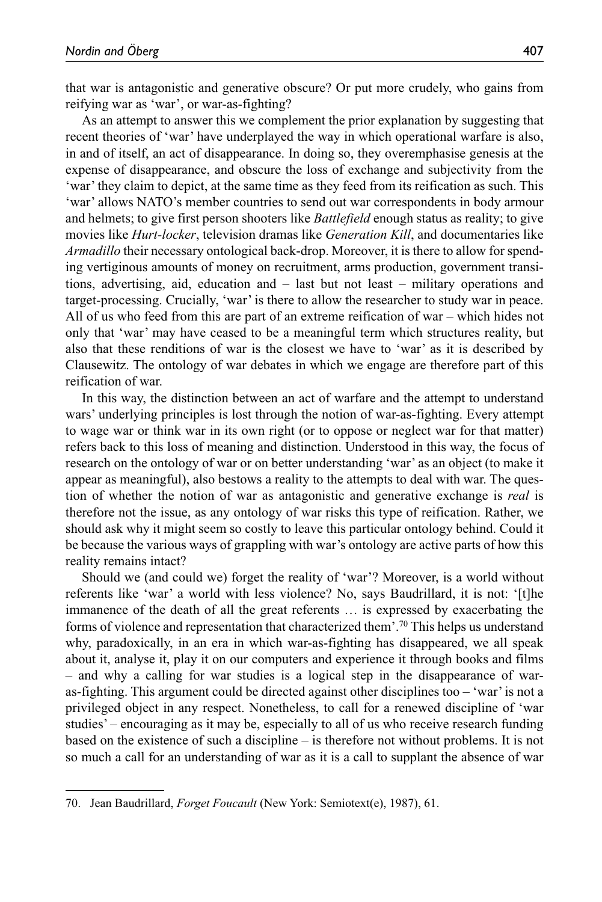that war is antagonistic and generative obscure? Or put more crudely, who gains from reifying war as 'war', or war-as-fighting?

As an attempt to answer this we complement the prior explanation by suggesting that recent theories of 'war' have underplayed the way in which operational warfare is also, in and of itself, an act of disappearance. In doing so, they overemphasise genesis at the expense of disappearance, and obscure the loss of exchange and subjectivity from the 'war' they claim to depict, at the same time as they feed from its reification as such. This 'war' allows NATO's member countries to send out war correspondents in body armour and helmets; to give first person shooters like *Battlefield* enough status as reality; to give movies like *Hurt-locker*, television dramas like *Generation Kill*, and documentaries like *Armadillo* their necessary ontological back-drop. Moreover, it is there to allow for spending vertiginous amounts of money on recruitment, arms production, government transitions, advertising, aid, education and – last but not least – military operations and target-processing. Crucially, 'war' is there to allow the researcher to study war in peace. All of us who feed from this are part of an extreme reification of war – which hides not only that 'war' may have ceased to be a meaningful term which structures reality, but also that these renditions of war is the closest we have to 'war' as it is described by Clausewitz. The ontology of war debates in which we engage are therefore part of this reification of war.

In this way, the distinction between an act of warfare and the attempt to understand wars' underlying principles is lost through the notion of war-as-fighting. Every attempt to wage war or think war in its own right (or to oppose or neglect war for that matter) refers back to this loss of meaning and distinction. Understood in this way, the focus of research on the ontology of war or on better understanding 'war' as an object (to make it appear as meaningful), also bestows a reality to the attempts to deal with war. The question of whether the notion of war as antagonistic and generative exchange is *real* is therefore not the issue, as any ontology of war risks this type of reification. Rather, we should ask why it might seem so costly to leave this particular ontology behind. Could it be because the various ways of grappling with war's ontology are active parts of how this reality remains intact?

Should we (and could we) forget the reality of 'war'? Moreover, is a world without referents like 'war' a world with less violence? No, says Baudrillard, it is not: '[t]he immanence of the death of all the great referents … is expressed by exacerbating the forms of violence and representation that characterized them'.70 This helps us understand why, paradoxically, in an era in which war-as-fighting has disappeared, we all speak about it, analyse it, play it on our computers and experience it through books and films – and why a calling for war studies is a logical step in the disappearance of waras-fighting. This argument could be directed against other disciplines too – 'war' is not a privileged object in any respect. Nonetheless, to call for a renewed discipline of 'war studies' – encouraging as it may be, especially to all of us who receive research funding based on the existence of such a discipline – is therefore not without problems. It is not so much a call for an understanding of war as it is a call to supplant the absence of war

<sup>70.</sup> Jean Baudrillard, *Forget Foucault* (New York: Semiotext(e), 1987), 61.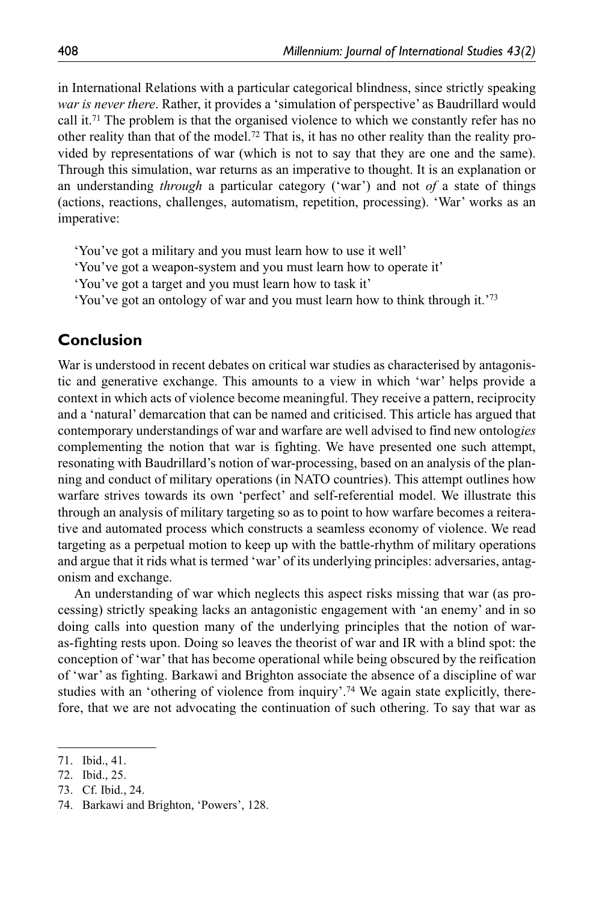in International Relations with a particular categorical blindness, since strictly speaking *war is never there*. Rather, it provides a 'simulation of perspective' as Baudrillard would call it.<sup>71</sup> The problem is that the organised violence to which we constantly refer has no other reality than that of the model.72 That is, it has no other reality than the reality provided by representations of war (which is not to say that they are one and the same). Through this simulation, war returns as an imperative to thought. It is an explanation or an understanding *through* a particular category ('war') and not *of* a state of things (actions, reactions, challenges, automatism, repetition, processing). 'War' works as an imperative:

- 'You've got a military and you must learn how to use it well'
- 'You've got a weapon-system and you must learn how to operate it'
- 'You've got a target and you must learn how to task it'
- 'You've got an ontology of war and you must learn how to think through it.'73

# **Conclusion**

War is understood in recent debates on critical war studies as characterised by antagonistic and generative exchange. This amounts to a view in which 'war' helps provide a context in which acts of violence become meaningful. They receive a pattern, reciprocity and a 'natural' demarcation that can be named and criticised. This article has argued that contemporary understandings of war and warfare are well advised to find new ontolog*ies* complementing the notion that war is fighting. We have presented one such attempt, resonating with Baudrillard's notion of war-processing, based on an analysis of the planning and conduct of military operations (in NATO countries). This attempt outlines how warfare strives towards its own 'perfect' and self-referential model. We illustrate this through an analysis of military targeting so as to point to how warfare becomes a reiterative and automated process which constructs a seamless economy of violence. We read targeting as a perpetual motion to keep up with the battle-rhythm of military operations and argue that it rids what is termed 'war' of its underlying principles: adversaries, antagonism and exchange.

An understanding of war which neglects this aspect risks missing that war (as processing) strictly speaking lacks an antagonistic engagement with 'an enemy' and in so doing calls into question many of the underlying principles that the notion of waras-fighting rests upon. Doing so leaves the theorist of war and IR with a blind spot: the conception of 'war' that has become operational while being obscured by the reification of 'war' as fighting. Barkawi and Brighton associate the absence of a discipline of war studies with an 'othering of violence from inquiry'.<sup>74</sup> We again state explicitly, therefore, that we are not advocating the continuation of such othering. To say that war as

<sup>71.</sup> Ibid., 41.

<sup>72.</sup> Ibid., 25.

<sup>73.</sup> Cf. Ibid., 24.

<sup>74.</sup> Barkawi and Brighton, 'Powers', 128.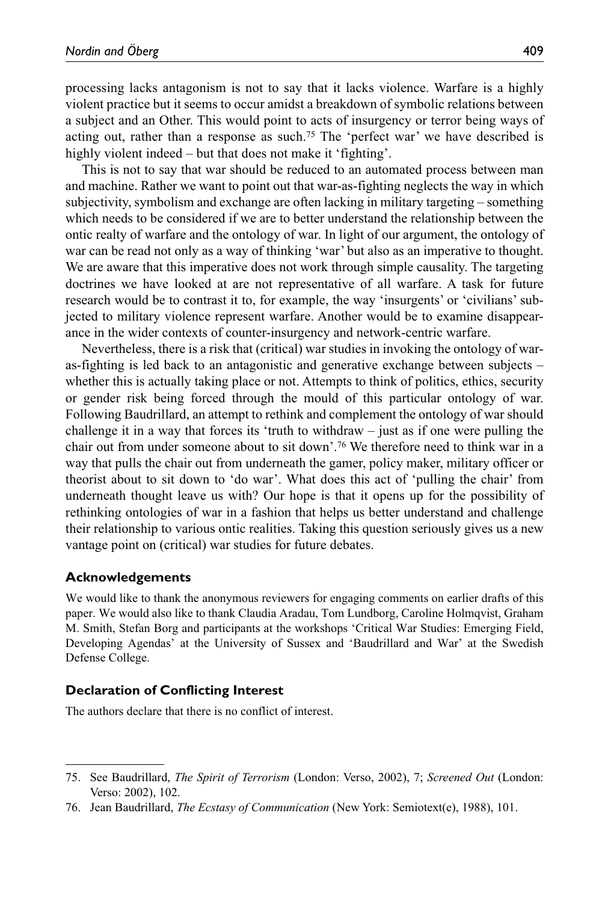processing lacks antagonism is not to say that it lacks violence. Warfare is a highly violent practice but it seems to occur amidst a breakdown of symbolic relations between a subject and an Other. This would point to acts of insurgency or terror being ways of acting out, rather than a response as such.75 The 'perfect war' we have described is highly violent indeed – but that does not make it 'fighting'.

This is not to say that war should be reduced to an automated process between man and machine. Rather we want to point out that war-as-fighting neglects the way in which subjectivity, symbolism and exchange are often lacking in military targeting – something which needs to be considered if we are to better understand the relationship between the ontic realty of warfare and the ontology of war. In light of our argument, the ontology of war can be read not only as a way of thinking 'war' but also as an imperative to thought. We are aware that this imperative does not work through simple causality. The targeting doctrines we have looked at are not representative of all warfare. A task for future research would be to contrast it to, for example, the way 'insurgents' or 'civilians' subjected to military violence represent warfare. Another would be to examine disappearance in the wider contexts of counter-insurgency and network-centric warfare.

Nevertheless, there is a risk that (critical) war studies in invoking the ontology of waras-fighting is led back to an antagonistic and generative exchange between subjects – whether this is actually taking place or not. Attempts to think of politics, ethics, security or gender risk being forced through the mould of this particular ontology of war. Following Baudrillard, an attempt to rethink and complement the ontology of war should challenge it in a way that forces its 'truth to withdraw  $-$  just as if one were pulling the chair out from under someone about to sit down'.76 We therefore need to think war in a way that pulls the chair out from underneath the gamer, policy maker, military officer or theorist about to sit down to 'do war'. What does this act of 'pulling the chair' from underneath thought leave us with? Our hope is that it opens up for the possibility of rethinking ontologies of war in a fashion that helps us better understand and challenge their relationship to various ontic realities. Taking this question seriously gives us a new vantage point on (critical) war studies for future debates.

#### **Acknowledgements**

We would like to thank the anonymous reviewers for engaging comments on earlier drafts of this paper. We would also like to thank Claudia Aradau, Tom Lundborg, Caroline Holmqvist, Graham M. Smith, Stefan Borg and participants at the workshops 'Critical War Studies: Emerging Field, Developing Agendas' at the University of Sussex and 'Baudrillard and War' at the Swedish Defense College.

#### **Declaration of Conflicting Interest**

The authors declare that there is no conflict of interest.

<sup>75.</sup> See Baudrillard, *The Spirit of Terrorism* (London: Verso, 2002), 7; *Screened Out* (London: Verso: 2002), 102.

<sup>76.</sup> Jean Baudrillard, *The Ecstasy of Communication* (New York: Semiotext(e), 1988), 101.